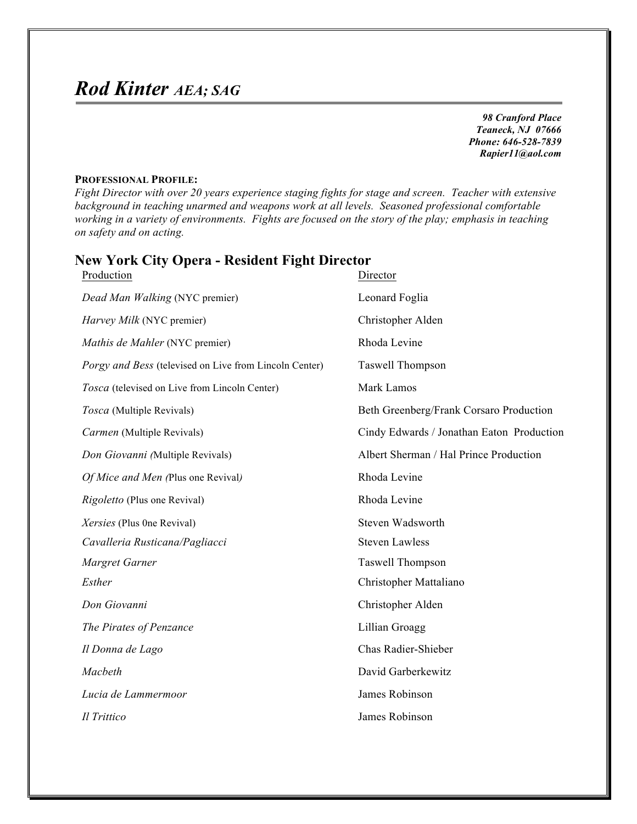# *Rod Kinter AEA; SAG*

*98 Cranford Place Teaneck, NJ 07666 Phone: 646-528-7839 Rapier11@aol.com*

#### **PROFESSIONAL PROFILE:**

*Fight Director with over 20 years experience staging fights for stage and screen. Teacher with extensive background in teaching unarmed and weapons work at all levels. Seasoned professional comfortable working in a variety of environments. Fights are focused on the story of the play; emphasis in teaching on safety and on acting.* 

## Production Director *Dead Man Walking* (NYC premier) Leonard Foglia *Harvey Milk* (NYC premier) Christopher Alden *Mathis de Mahler* (NYC premier) Rhoda Levine *Porgy and Bess* (televised on Live from Lincoln Center) Taswell Thompson *Tosca* (televised on Live from Lincoln Center) Mark Lamos **Tosca** (Multiple Revivals) **Beth Greenberg/Frank Corsaro Production** *Carmen* (Multiple Revivals) Cindy Edwards / Jonathan Eaton Production *Don Giovanni (*Multiple Revivals) Albert Sherman / Hal Prince Production *Of Mice and Men (Plus one Revival)* Rhoda Levine *Rigoletto* (Plus one Revival) Rhoda Levine *Xersies* (Plus 0ne Revival) *Cavalleria Rusticana/Pagliacci Margret Garner* Steven Wadsworth Steven Lawless Taswell Thompson *Esther* Christopher Mattaliano *Don Giovanni* Christopher Alden *The Pirates of Penzance* Lillian Groagg *Il Donna de Lago* Chas Radier-Shieber *Macbeth* David Garberkewitz *Lucia de Lammermoor* James Robinson *Il Trittico* James Robinson

### **New York City Opera - Resident Fight Director**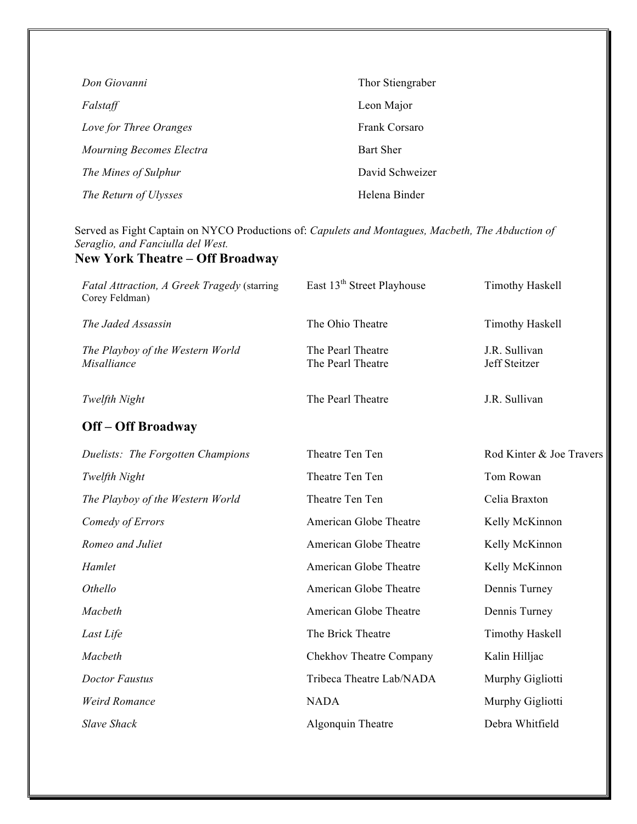| Don Giovanni             | Thor Stiengraber |
|--------------------------|------------------|
| Falstaff                 | Leon Major       |
| Love for Three Oranges   | Frank Corsaro    |
| Mourning Becomes Electra | <b>Bart Sher</b> |
| The Mines of Sulphur     | David Schweizer  |
| The Return of Ulysses    | Helena Binder    |

Served as Fight Captain on NYCO Productions of: *Capulets and Montagues, Macbeth, The Abduction of Seraglio, and Fanciulla del West.*

### **New York Theatre – Off Broadway**

| Fatal Attraction, A Greek Tragedy (starring<br>Corey Feldman) | East 13 <sup>th</sup> Street Playhouse | <b>Timothy Haskell</b>                |
|---------------------------------------------------------------|----------------------------------------|---------------------------------------|
| The Jaded Assassin                                            | The Ohio Theatre                       | <b>Timothy Haskell</b>                |
| The Playboy of the Western World<br>Misalliance               | The Pearl Theatre<br>The Pearl Theatre | J.R. Sullivan<br><b>Jeff Steitzer</b> |
| Twelfth Night                                                 | The Pearl Theatre                      | J.R. Sullivan                         |
| <b>Off-Off Broadway</b>                                       |                                        |                                       |
| Duelists: The Forgotten Champions                             | Theatre Ten Ten                        | Rod Kinter & Joe Travers              |
| Twelfth Night                                                 | Theatre Ten Ten                        | Tom Rowan                             |
| The Playboy of the Western World                              | Theatre Ten Ten                        | Celia Braxton                         |
| Comedy of Errors                                              | American Globe Theatre                 | Kelly McKinnon                        |
| Romeo and Juliet                                              | American Globe Theatre                 | Kelly McKinnon                        |
| Hamlet                                                        | American Globe Theatre                 | Kelly McKinnon                        |
| Othello                                                       | American Globe Theatre                 | Dennis Turney                         |
| Macbeth                                                       | American Globe Theatre                 | Dennis Turney                         |
| Last Life                                                     | The Brick Theatre                      | <b>Timothy Haskell</b>                |
| Macbeth                                                       | <b>Chekhov Theatre Company</b>         | Kalin Hilljac                         |
| <b>Doctor Faustus</b>                                         | Tribeca Theatre Lab/NADA               | Murphy Gigliotti                      |
| <b>Weird Romance</b>                                          | <b>NADA</b>                            | Murphy Gigliotti                      |
| <b>Slave Shack</b>                                            | Algonquin Theatre                      | Debra Whitfield                       |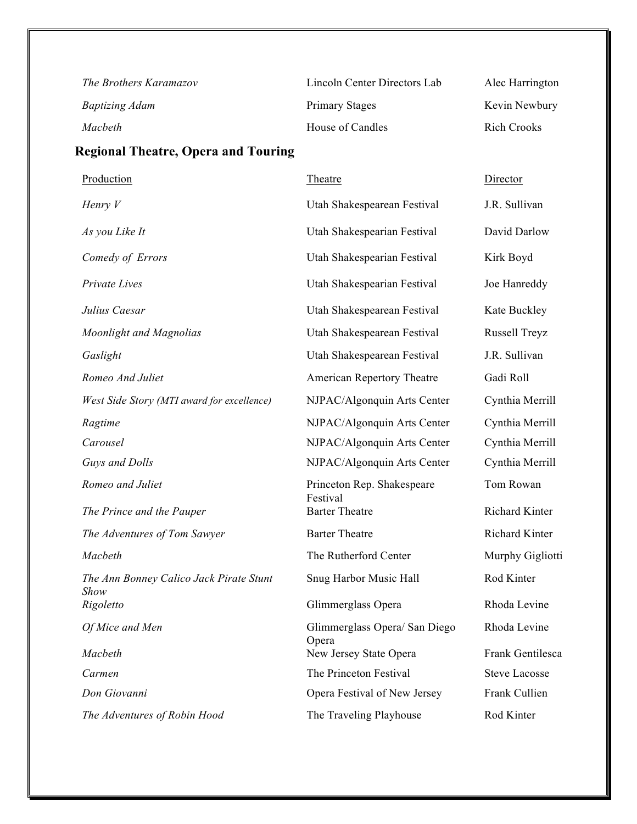| The Brothers Karamazov | Lincoln Center Directors Lab | Alec Harrington |
|------------------------|------------------------------|-----------------|
| Baptizing Adam         | Primary Stages               | Kevin Newbury   |
| Macbeth                | House of Candles             | Rich Crooks     |

## **Regional Theatre, Opera and Touring**

| Production                                      | <b>Theatre</b>                         | Director             |
|-------------------------------------------------|----------------------------------------|----------------------|
| Henry $V$                                       | Utah Shakespearean Festival            | J.R. Sullivan        |
| As you Like It                                  | Utah Shakespearian Festival            | David Darlow         |
| Comedy of Errors                                | Utah Shakespearian Festival            | Kirk Boyd            |
| Private Lives                                   | Utah Shakespearian Festival            | Joe Hanreddy         |
| Julius Caesar                                   | Utah Shakespearean Festival            | Kate Buckley         |
| Moonlight and Magnolias                         | Utah Shakespearean Festival            | Russell Treyz        |
| Gaslight                                        | Utah Shakespearean Festival            | J.R. Sullivan        |
| Romeo And Juliet                                | American Repertory Theatre             | Gadi Roll            |
| West Side Story (MTI award for excellence)      | NJPAC/Algonquin Arts Center            | Cynthia Merrill      |
| Ragtime                                         | NJPAC/Algonquin Arts Center            | Cynthia Merrill      |
| Carousel                                        | NJPAC/Algonquin Arts Center            | Cynthia Merrill      |
| Guys and Dolls                                  | NJPAC/Algonquin Arts Center            | Cynthia Merrill      |
| Romeo and Juliet                                | Princeton Rep. Shakespeare<br>Festival | Tom Rowan            |
| The Prince and the Pauper                       | <b>Barter Theatre</b>                  | Richard Kinter       |
| The Adventures of Tom Sawyer                    | <b>Barter Theatre</b>                  | Richard Kinter       |
| Macbeth                                         | The Rutherford Center                  | Murphy Gigliotti     |
| The Ann Bonney Calico Jack Pirate Stunt<br>Show | Snug Harbor Music Hall                 | Rod Kinter           |
| Rigoletto                                       | Glimmerglass Opera                     | Rhoda Levine         |
| Of Mice and Men                                 | Glimmerglass Opera/ San Diego<br>Opera | Rhoda Levine         |
| Macbeth                                         | New Jersey State Opera                 | Frank Gentilesca     |
| Carmen                                          | The Princeton Festival                 | <b>Steve Lacosse</b> |
| Don Giovanni                                    | Opera Festival of New Jersey           | Frank Cullien        |
| The Adventures of Robin Hood                    | The Traveling Playhouse                | Rod Kinter           |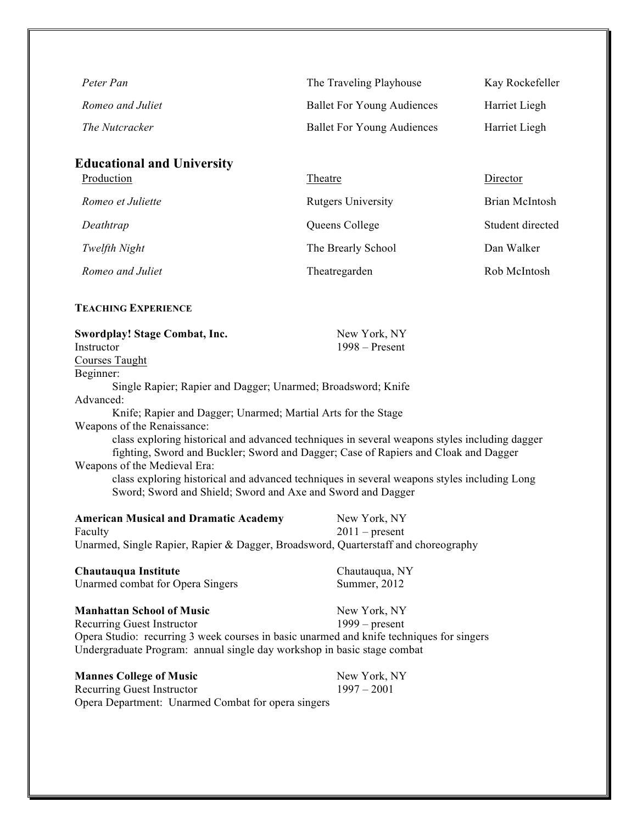| Peter Pan                                                                                                       | The Traveling Playhouse                                                                                                                                                              | Kay Rockefeller       |
|-----------------------------------------------------------------------------------------------------------------|--------------------------------------------------------------------------------------------------------------------------------------------------------------------------------------|-----------------------|
| Romeo and Juliet                                                                                                | <b>Ballet For Young Audiences</b>                                                                                                                                                    | Harriet Liegh         |
| The Nutcracker                                                                                                  | <b>Ballet For Young Audiences</b>                                                                                                                                                    | Harriet Liegh         |
| <b>Educational and University</b>                                                                               |                                                                                                                                                                                      |                       |
| Production                                                                                                      | Theatre                                                                                                                                                                              | Director              |
| Romeo et Juliette                                                                                               | <b>Rutgers University</b>                                                                                                                                                            | <b>Brian McIntosh</b> |
| Deathtrap                                                                                                       | Queens College                                                                                                                                                                       | Student directed      |
| Twelfth Night                                                                                                   | The Brearly School                                                                                                                                                                   | Dan Walker            |
| Romeo and Juliet                                                                                                | Theatregarden                                                                                                                                                                        | Rob McIntosh          |
| <b>TEACHING EXPERIENCE</b>                                                                                      |                                                                                                                                                                                      |                       |
| <b>Swordplay! Stage Combat, Inc.</b><br>New York, NY<br>$1998 -$ Present<br>Instructor<br><b>Courses Taught</b> |                                                                                                                                                                                      |                       |
| Beginner:<br>Single Rapier; Rapier and Dagger; Unarmed; Broadsword; Knife                                       |                                                                                                                                                                                      |                       |
| Advanced:<br>Knife; Rapier and Dagger; Unarmed; Martial Arts for the Stage<br>Weapons of the Renaissance:       |                                                                                                                                                                                      |                       |
| Weapons of the Medieval Era:                                                                                    | class exploring historical and advanced techniques in several weapons styles including dagger<br>fighting, Sword and Buckler; Sword and Dagger; Case of Rapiers and Cloak and Dagger |                       |
|                                                                                                                 | . These conditions differential conditions in distributions of the concentration is a set of a funding $\mathbf r$ and                                                               |                       |

class exploring historical and advanced techniques in several weapons styles including Long Sword; Sword and Shield; Sword and Axe and Sword and Dagger

| <b>American Musical and Dramatic Academy</b>                                       | New York, NY     |
|------------------------------------------------------------------------------------|------------------|
| Faculty                                                                            | $2011$ – present |
| Unarmed, Single Rapier, Rapier & Dagger, Broadsword, Quarterstaff and choreography |                  |

| Chautauqua Institute<br>Unarmed combat for Opera Singers                                                                                                            | Chautauqua, NY<br>Summer, 2012 |  |
|---------------------------------------------------------------------------------------------------------------------------------------------------------------------|--------------------------------|--|
| <b>Manhattan School of Music</b>                                                                                                                                    | New York, NY                   |  |
| Recurring Guest Instructor                                                                                                                                          | $1999 - present$               |  |
| Opera Studio: recurring 3 week courses in basic unarmed and knife techniques for singers<br>Undergraduate Program: annual single day workshop in basic stage combat |                                |  |

| <b>Mannes College of Music</b>                     | New York, NY  |
|----------------------------------------------------|---------------|
| Recurring Guest Instructor                         | $1997 - 2001$ |
| Opera Department: Unarmed Combat for opera singers |               |